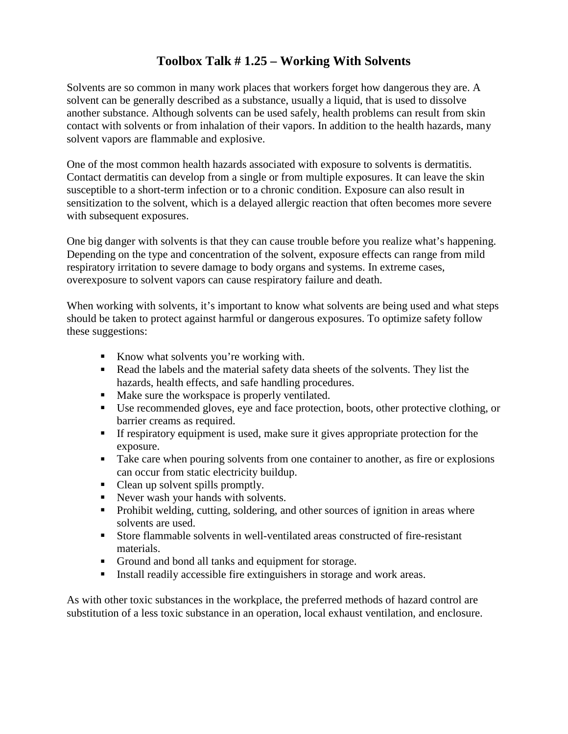## **Toolbox Talk # 1.25 – Working With Solvents**

Solvents are so common in many work places that workers forget how dangerous they are. A solvent can be generally described as a substance, usually a liquid, that is used to dissolve another substance. Although solvents can be used safely, health problems can result from skin contact with solvents or from inhalation of their vapors. In addition to the health hazards, many solvent vapors are flammable and explosive.

One of the most common health hazards associated with exposure to solvents is dermatitis. Contact dermatitis can develop from a single or from multiple exposures. It can leave the skin susceptible to a short-term infection or to a chronic condition. Exposure can also result in sensitization to the solvent, which is a delayed allergic reaction that often becomes more severe with subsequent exposures.

One big danger with solvents is that they can cause trouble before you realize what's happening. Depending on the type and concentration of the solvent, exposure effects can range from mild respiratory irritation to severe damage to body organs and systems. In extreme cases, overexposure to solvent vapors can cause respiratory failure and death.

When working with solvents, it's important to know what solvents are being used and what steps should be taken to protect against harmful or dangerous exposures. To optimize safety follow these suggestions:

- Know what solvents you're working with.
- Read the labels and the material safety data sheets of the solvents. They list the hazards, health effects, and safe handling procedures.
- Make sure the workspace is properly ventilated.
- Use recommended gloves, eye and face protection, boots, other protective clothing, or barrier creams as required.
- If respiratory equipment is used, make sure it gives appropriate protection for the exposure.
- Take care when pouring solvents from one container to another, as fire or explosions can occur from static electricity buildup.
- Clean up solvent spills promptly.
- Never wash your hands with solvents.
- Prohibit welding, cutting, soldering, and other sources of ignition in areas where solvents are used.
- Store flammable solvents in well-ventilated areas constructed of fire-resistant materials.
- Ground and bond all tanks and equipment for storage.
- Install readily accessible fire extinguishers in storage and work areas.

As with other toxic substances in the workplace, the preferred methods of hazard control are substitution of a less toxic substance in an operation, local exhaust ventilation, and enclosure.